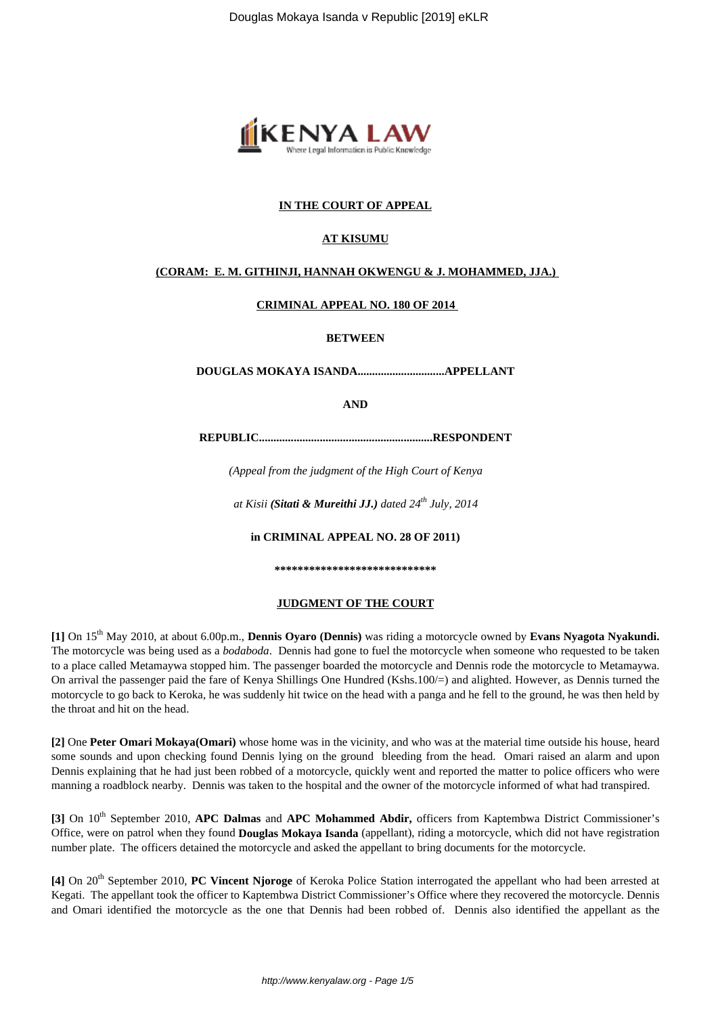

# **IN THE COURT OF APPEAL**

# **AT KISUMU**

## **(CORAM: E. M. GITHINJI, HANNAH OKWENGU & J. MOHAMMED, JJA.)**

#### **CRIMINAL APPEAL NO. 180 OF 2014**

**BETWEEN**

**DOUGLAS MOKAYA ISANDA..............................APPELLANT**

**AND**

**REPUBLIC............................................................RESPONDENT**

*(Appeal from the judgment of the High Court of Kenya*

*at Kisii (Sitati & Mureithi JJ.) dated 24th July, 2014*

**in CRIMINAL APPEAL NO. 28 OF 2011)**

**\*\*\*\*\*\*\*\*\*\*\*\*\*\*\*\*\*\*\*\*\*\*\*\*\*\*\*\***

## **JUDGMENT OF THE COURT**

**[1]** On 15th May 2010, at about 6.00p.m., **Dennis Oyaro (Dennis)** was riding a motorcycle owned by **Evans Nyagota Nyakundi.** The motorcycle was being used as a *bodaboda*. Dennis had gone to fuel the motorcycle when someone who requested to be taken to a place called Metamaywa stopped him. The passenger boarded the motorcycle and Dennis rode the motorcycle to Metamaywa. On arrival the passenger paid the fare of Kenya Shillings One Hundred (Kshs.100/=) and alighted. However, as Dennis turned the motorcycle to go back to Keroka, he was suddenly hit twice on the head with a panga and he fell to the ground, he was then held by the throat and hit on the head.

**[2]** One **Peter Omari Mokaya(Omari)** whose home was in the vicinity, and who was at the material time outside his house, heard some sounds and upon checking found Dennis lying on the ground bleeding from the head. Omari raised an alarm and upon Dennis explaining that he had just been robbed of a motorcycle, quickly went and reported the matter to police officers who were manning a roadblock nearby. Dennis was taken to the hospital and the owner of the motorcycle informed of what had transpired.

**[3]** On 10th September 2010, **APC Dalmas** and **APC Mohammed Abdir,** officers from Kaptembwa District Commissioner's Office, were on patrol when they found **Douglas Mokaya Isanda** (appellant), riding a motorcycle, which did not have registration number plate. The officers detained the motorcycle and asked the appellant to bring documents for the motorcycle.

[4] On 20<sup>th</sup> September 2010, **PC Vincent Njoroge** of Keroka Police Station interrogated the appellant who had been arrested at Kegati. The appellant took the officer to Kaptembwa District Commissioner's Office where they recovered the motorcycle. Dennis and Omari identified the motorcycle as the one that Dennis had been robbed of. Dennis also identified the appellant as the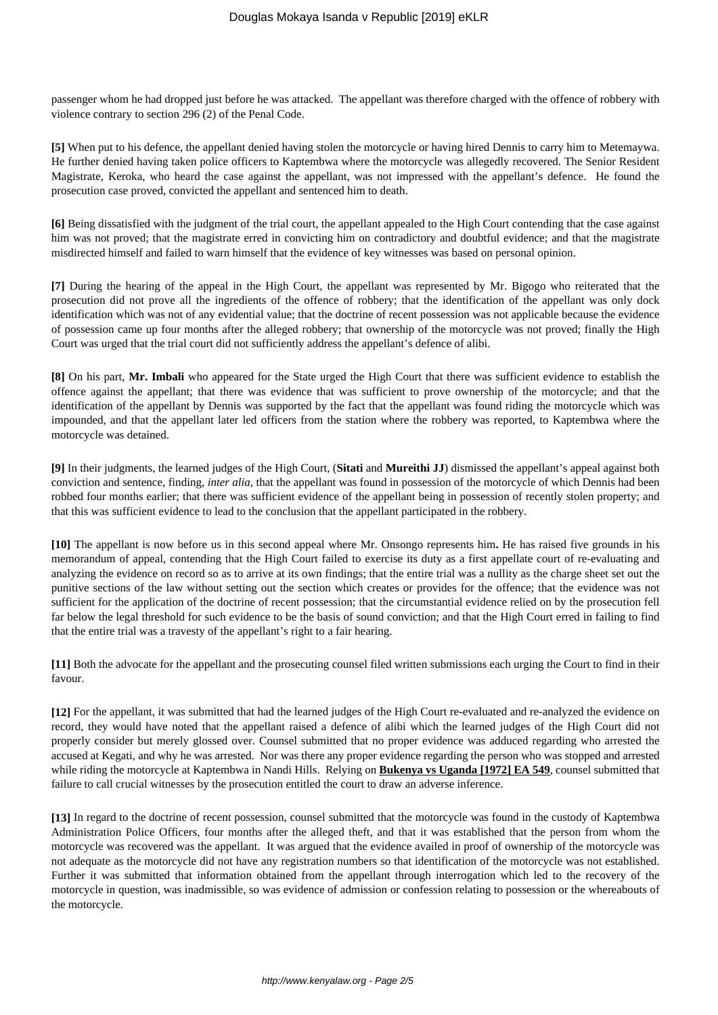passenger whom he had dropped just before he was attacked. The appellant was therefore charged with the offence of robbery with violence contrary to section 296 (2) of the Penal Code.

**[5]** When put to his defence, the appellant denied having stolen the motorcycle or having hired Dennis to carry him to Metemaywa. He further denied having taken police officers to Kaptembwa where the motorcycle was allegedly recovered. The Senior Resident Magistrate, Keroka, who heard the case against the appellant, was not impressed with the appellant's defence. He found the prosecution case proved, convicted the appellant and sentenced him to death.

**[6]** Being dissatisfied with the judgment of the trial court, the appellant appealed to the High Court contending that the case against him was not proved; that the magistrate erred in convicting him on contradictory and doubtful evidence; and that the magistrate misdirected himself and failed to warn himself that the evidence of key witnesses was based on personal opinion.

**[7]** During the hearing of the appeal in the High Court, the appellant was represented by Mr. Bigogo who reiterated that the prosecution did not prove all the ingredients of the offence of robbery; that the identification of the appellant was only dock identification which was not of any evidential value; that the doctrine of recent possession was not applicable because the evidence of possession came up four months after the alleged robbery; that ownership of the motorcycle was not proved; finally the High Court was urged that the trial court did not sufficiently address the appellant's defence of alibi.

**[8]** On his part, **Mr. Imbali** who appeared for the State urged the High Court that there was sufficient evidence to establish the offence against the appellant; that there was evidence that was sufficient to prove ownership of the motorcycle; and that the identification of the appellant by Dennis was supported by the fact that the appellant was found riding the motorcycle which was impounded, and that the appellant later led officers from the station where the robbery was reported, to Kaptembwa where the motorcycle was detained.

**[9]** In their judgments, the learned judges of the High Court, (**Sitati** and **Mureithi JJ**) dismissed the appellant's appeal against both conviction and sentence, finding, *inter alia*, that the appellant was found in possession of the motorcycle of which Dennis had been robbed four months earlier; that there was sufficient evidence of the appellant being in possession of recently stolen property; and that this was sufficient evidence to lead to the conclusion that the appellant participated in the robbery.

**[10]** The appellant is now before us in this second appeal where Mr. Onsongo represents him**.** He has raised five grounds in his memorandum of appeal, contending that the High Court failed to exercise its duty as a first appellate court of re-evaluating and analyzing the evidence on record so as to arrive at its own findings; that the entire trial was a nullity as the charge sheet set out the punitive sections of the law without setting out the section which creates or provides for the offence; that the evidence was not sufficient for the application of the doctrine of recent possession; that the circumstantial evidence relied on by the prosecution fell far below the legal threshold for such evidence to be the basis of sound conviction; and that the High Court erred in failing to find that the entire trial was a travesty of the appellant's right to a fair hearing.

**[11]** Both the advocate for the appellant and the prosecuting counsel filed written submissions each urging the Court to find in their favour.

**[12]** For the appellant, it was submitted that had the learned judges of the High Court re-evaluated and re-analyzed the evidence on record, they would have noted that the appellant raised a defence of alibi which the learned judges of the High Court did not properly consider but merely glossed over. Counsel submitted that no proper evidence was adduced regarding who arrested the accused at Kegati, and why he was arrested. Nor was there any proper evidence regarding the person who was stopped and arrested while riding the motorcycle at Kaptembwa in Nandi Hills. Relying on **Bukenya vs Uganda [1972] EA 549**, counsel submitted that failure to call crucial witnesses by the prosecution entitled the court to draw an adverse inference.

**[13]** In regard to the doctrine of recent possession, counsel submitted that the motorcycle was found in the custody of Kaptembwa Administration Police Officers, four months after the alleged theft, and that it was established that the person from whom the motorcycle was recovered was the appellant. It was argued that the evidence availed in proof of ownership of the motorcycle was not adequate as the motorcycle did not have any registration numbers so that identification of the motorcycle was not established. Further it was submitted that information obtained from the appellant through interrogation which led to the recovery of the motorcycle in question, was inadmissible, so was evidence of admission or confession relating to possession or the whereabouts of the motorcycle.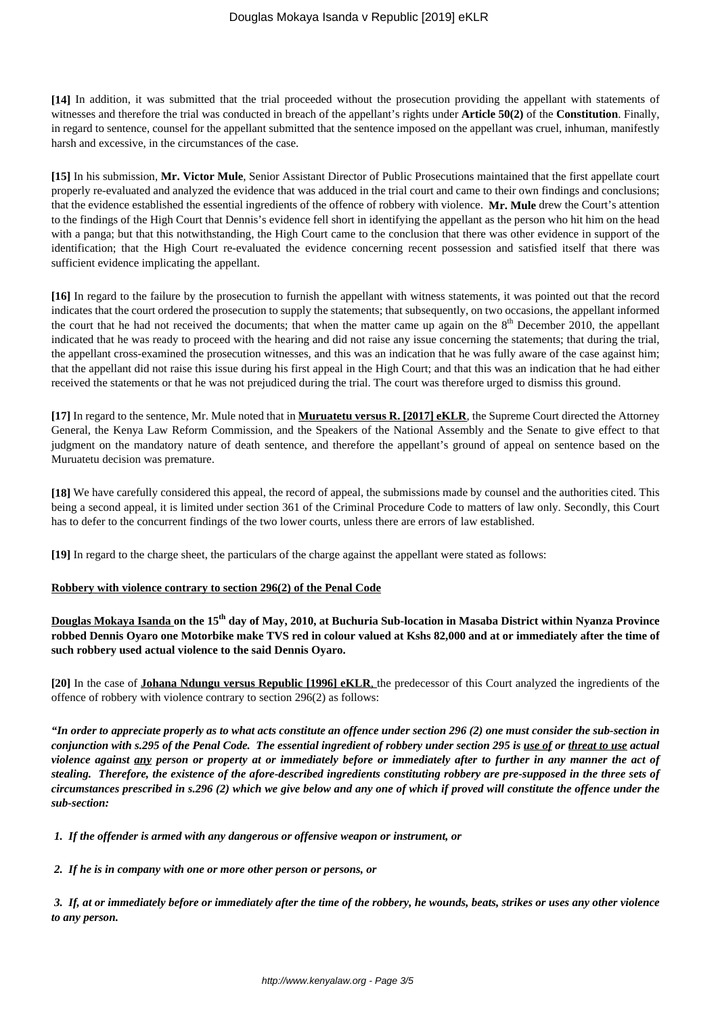**[14]** In addition, it was submitted that the trial proceeded without the prosecution providing the appellant with statements of witnesses and therefore the trial was conducted in breach of the appellant's rights under **Article 50(2)** of the **Constitution**. Finally, in regard to sentence, counsel for the appellant submitted that the sentence imposed on the appellant was cruel, inhuman, manifestly harsh and excessive, in the circumstances of the case.

**[15]** In his submission, **Mr. Victor Mule**, Senior Assistant Director of Public Prosecutions maintained that the first appellate court properly re-evaluated and analyzed the evidence that was adduced in the trial court and came to their own findings and conclusions; that the evidence established the essential ingredients of the offence of robbery with violence. **Mr. Mule** drew the Court's attention to the findings of the High Court that Dennis's evidence fell short in identifying the appellant as the person who hit him on the head with a panga; but that this notwithstanding, the High Court came to the conclusion that there was other evidence in support of the identification; that the High Court re-evaluated the evidence concerning recent possession and satisfied itself that there was sufficient evidence implicating the appellant.

**[16]** In regard to the failure by the prosecution to furnish the appellant with witness statements, it was pointed out that the record indicates that the court ordered the prosecution to supply the statements; that subsequently, on two occasions, the appellant informed the court that he had not received the documents; that when the matter came up again on the  $8<sup>th</sup>$  December 2010, the appellant indicated that he was ready to proceed with the hearing and did not raise any issue concerning the statements; that during the trial, the appellant cross-examined the prosecution witnesses, and this was an indication that he was fully aware of the case against him; that the appellant did not raise this issue during his first appeal in the High Court; and that this was an indication that he had either received the statements or that he was not prejudiced during the trial. The court was therefore urged to dismiss this ground.

**[17]** In regard to the sentence, Mr. Mule noted that in **Muruatetu versus R. [2017] eKLR**, the Supreme Court directed the Attorney General, the Kenya Law Reform Commission, and the Speakers of the National Assembly and the Senate to give effect to that judgment on the mandatory nature of death sentence, and therefore the appellant's ground of appeal on sentence based on the Muruatetu decision was premature.

**[18]** We have carefully considered this appeal, the record of appeal, the submissions made by counsel and the authorities cited. This being a second appeal, it is limited under section 361 of the Criminal Procedure Code to matters of law only. Secondly, this Court has to defer to the concurrent findings of the two lower courts, unless there are errors of law established.

**[19]** In regard to the charge sheet, the particulars of the charge against the appellant were stated as follows:

## **Robbery with violence contrary to section 296(2) of the Penal Code**

**Douglas Mokaya Isanda on the 15th day of May, 2010, at Buchuria Sub-location in Masaba District within Nyanza Province robbed Dennis Oyaro one Motorbike make TVS red in colour valued at Kshs 82,000 and at or immediately after the time of such robbery used actual violence to the said Dennis Oyaro.** 

**[20]** In the case of **Johana Ndungu versus Republic [1996] eKLR**, the predecessor of this Court analyzed the ingredients of the offence of robbery with violence contrary to section 296(2) as follows:

*"In order to appreciate properly as to what acts constitute an offence under section 296 (2) one must consider the sub-section in conjunction with s.295 of the Penal Code. The essential ingredient of robbery under section 295 is use of or threat to use actual violence against any person or property at or immediately before or immediately after to further in any manner the act of stealing. Therefore, the existence of the afore-described ingredients constituting robbery are pre-supposed in the three sets of circumstances prescribed in s.296 (2) which we give below and any one of which if proved will constitute the offence under the sub-section:*

*1. If the offender is armed with any dangerous or offensive weapon or instrument, or*

*2. If he is in company with one or more other person or persons, or*

*3. If, at or immediately before or immediately after the time of the robbery, he wounds, beats, strikes or uses any other violence to any person.*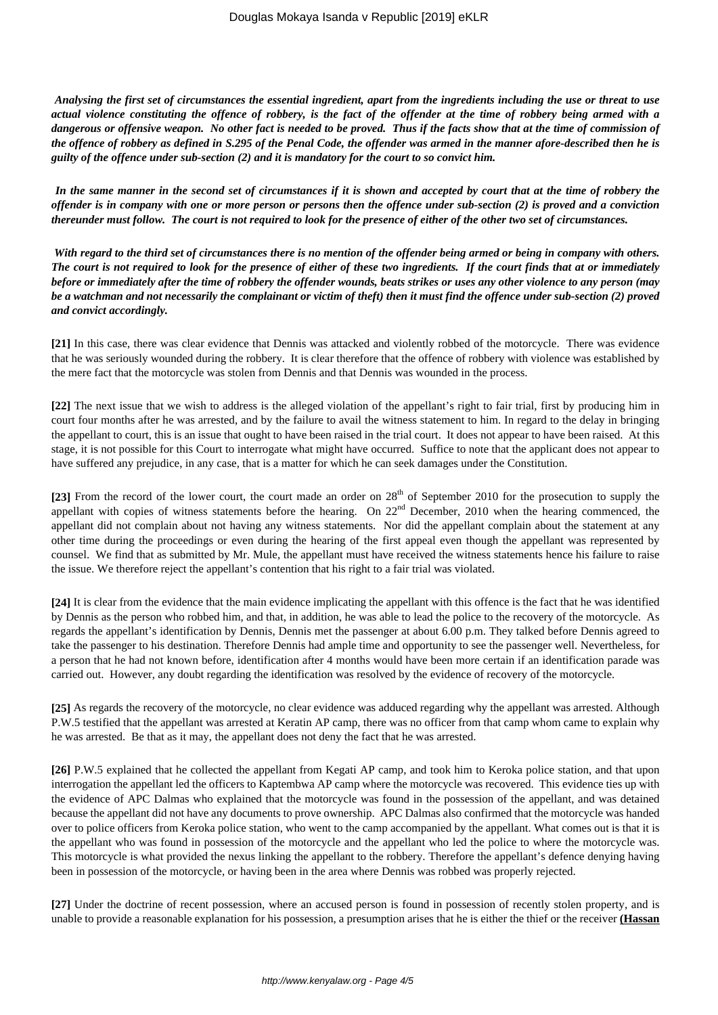*Analysing the first set of circumstances the essential ingredient, apart from the ingredients including the use or threat to use actual violence constituting the offence of robbery, is the fact of the offender at the time of robbery being armed with a dangerous or offensive weapon. No other fact is needed to be proved. Thus if the facts show that at the time of commission of the offence of robbery as defined in S.295 of the Penal Code, the offender was armed in the manner afore-described then he is guilty of the offence under sub-section (2) and it is mandatory for the court to so convict him.*

*In the same manner in the second set of circumstances if it is shown and accepted by court that at the time of robbery the offender is in company with one or more person or persons then the offence under sub-section (2) is proved and a conviction thereunder must follow. The court is not required to look for the presence of either of the other two set of circumstances.*

*With regard to the third set of circumstances there is no mention of the offender being armed or being in company with others. The court is not required to look for the presence of either of these two ingredients. If the court finds that at or immediately before or immediately after the time of robbery the offender wounds, beats strikes or uses any other violence to any person (may be a watchman and not necessarily the complainant or victim of theft) then it must find the offence under sub-section (2) proved and convict accordingly.*

**[21]** In this case, there was clear evidence that Dennis was attacked and violently robbed of the motorcycle. There was evidence that he was seriously wounded during the robbery. It is clear therefore that the offence of robbery with violence was established by the mere fact that the motorcycle was stolen from Dennis and that Dennis was wounded in the process.

**[22]** The next issue that we wish to address is the alleged violation of the appellant's right to fair trial, first by producing him in court four months after he was arrested, and by the failure to avail the witness statement to him. In regard to the delay in bringing the appellant to court, this is an issue that ought to have been raised in the trial court. It does not appear to have been raised. At this stage, it is not possible for this Court to interrogate what might have occurred. Suffice to note that the applicant does not appear to have suffered any prejudice, in any case, that is a matter for which he can seek damages under the Constitution.

[23] From the record of the lower court, the court made an order on 28<sup>th</sup> of September 2010 for the prosecution to supply the appellant with copies of witness statements before the hearing. On 22<sup>nd</sup> December, 2010 when the hearing commenced, the appellant did not complain about not having any witness statements. Nor did the appellant complain about the statement at any other time during the proceedings or even during the hearing of the first appeal even though the appellant was represented by counsel. We find that as submitted by Mr. Mule, the appellant must have received the witness statements hence his failure to raise the issue. We therefore reject the appellant's contention that his right to a fair trial was violated.

**[24]** It is clear from the evidence that the main evidence implicating the appellant with this offence is the fact that he was identified by Dennis as the person who robbed him, and that, in addition, he was able to lead the police to the recovery of the motorcycle. As regards the appellant's identification by Dennis, Dennis met the passenger at about 6.00 p.m. They talked before Dennis agreed to take the passenger to his destination. Therefore Dennis had ample time and opportunity to see the passenger well. Nevertheless, for a person that he had not known before, identification after 4 months would have been more certain if an identification parade was carried out. However, any doubt regarding the identification was resolved by the evidence of recovery of the motorcycle.

**[25]** As regards the recovery of the motorcycle, no clear evidence was adduced regarding why the appellant was arrested. Although P.W.5 testified that the appellant was arrested at Keratin AP camp, there was no officer from that camp whom came to explain why he was arrested. Be that as it may, the appellant does not deny the fact that he was arrested.

**[26]** P.W.5 explained that he collected the appellant from Kegati AP camp, and took him to Keroka police station, and that upon interrogation the appellant led the officers to Kaptembwa AP camp where the motorcycle was recovered. This evidence ties up with the evidence of APC Dalmas who explained that the motorcycle was found in the possession of the appellant, and was detained because the appellant did not have any documents to prove ownership. APC Dalmas also confirmed that the motorcycle was handed over to police officers from Keroka police station, who went to the camp accompanied by the appellant. What comes out is that it is the appellant who was found in possession of the motorcycle and the appellant who led the police to where the motorcycle was. This motorcycle is what provided the nexus linking the appellant to the robbery. Therefore the appellant's defence denying having been in possession of the motorcycle, or having been in the area where Dennis was robbed was properly rejected.

**[27]** Under the doctrine of recent possession, where an accused person is found in possession of recently stolen property, and is unable to provide a reasonable explanation for his possession, a presumption arises that he is either the thief or the receiver **(Hassan**